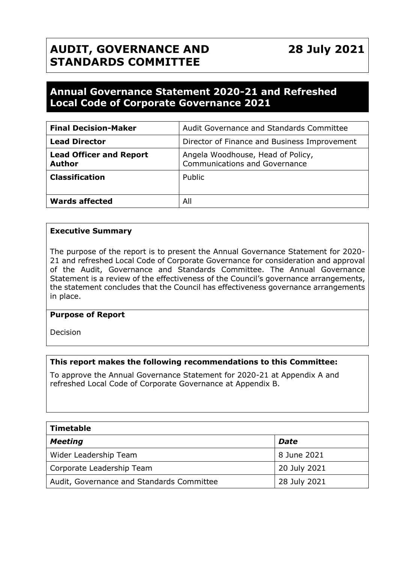# **AUDIT, GOVERNANCE AND STANDARDS COMMITTEE**

# **Annual Governance Statement 2020-21 and Refreshed Local Code of Corporate Governance 2021**

| <b>Final Decision-Maker</b>                     | Audit Governance and Standards Committee                                  |
|-------------------------------------------------|---------------------------------------------------------------------------|
| <b>Lead Director</b>                            | Director of Finance and Business Improvement                              |
| <b>Lead Officer and Report</b><br><b>Author</b> | Angela Woodhouse, Head of Policy,<br><b>Communications and Governance</b> |
| <b>Classification</b>                           | Public                                                                    |
| <b>Wards affected</b>                           | All                                                                       |

#### **Executive Summary**

The purpose of the report is to present the Annual Governance Statement for 2020- 21 and refreshed Local Code of Corporate Governance for consideration and approval of the Audit, Governance and Standards Committee. The Annual Governance Statement is a review of the effectiveness of the Council's governance arrangements, the statement concludes that the Council has effectiveness governance arrangements in place.

#### **Purpose of Report**

Decision

#### **This report makes the following recommendations to this Committee:**

To approve the Annual Governance Statement for 2020-21 at Appendix A and refreshed Local Code of Corporate Governance at Appendix B.

| <b>Timetable</b>                          |              |  |  |
|-------------------------------------------|--------------|--|--|
| <b>Meeting</b>                            | Date         |  |  |
| Wider Leadership Team                     | 8 June 2021  |  |  |
| Corporate Leadership Team                 | 20 July 2021 |  |  |
| Audit, Governance and Standards Committee | 28 July 2021 |  |  |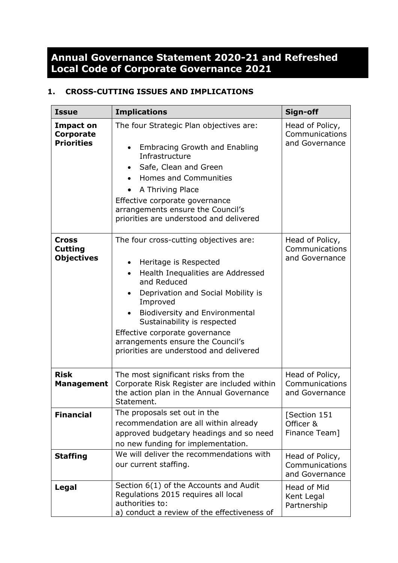# **Annual Governance Statement 2020-21 and Refreshed Local Code of Corporate Governance 2021**

## **1. CROSS-CUTTING ISSUES AND IMPLICATIONS**

| <b>Issue</b>                                              | <b>Implications</b>                                                                                                                                                                                                                                                                                                                                                               | Sign-off                                            |
|-----------------------------------------------------------|-----------------------------------------------------------------------------------------------------------------------------------------------------------------------------------------------------------------------------------------------------------------------------------------------------------------------------------------------------------------------------------|-----------------------------------------------------|
| <b>Impact on</b><br><b>Corporate</b><br><b>Priorities</b> | The four Strategic Plan objectives are:<br><b>Embracing Growth and Enabling</b><br>$\bullet$<br>Infrastructure<br>Safe, Clean and Green<br>$\bullet$<br><b>Homes and Communities</b><br>A Thriving Place<br>Effective corporate governance<br>arrangements ensure the Council's<br>priorities are understood and delivered                                                        | Head of Policy,<br>Communications<br>and Governance |
| <b>Cross</b><br><b>Cutting</b><br><b>Objectives</b>       | The four cross-cutting objectives are:<br>Heritage is Respected<br>٠<br>Health Inequalities are Addressed<br>$\bullet$<br>and Reduced<br>Deprivation and Social Mobility is<br>Improved<br><b>Biodiversity and Environmental</b><br>Sustainability is respected<br>Effective corporate governance<br>arrangements ensure the Council's<br>priorities are understood and delivered | Head of Policy,<br>Communications<br>and Governance |
| <b>Risk</b><br><b>Management</b>                          | The most significant risks from the<br>Corporate Risk Register are included within<br>the action plan in the Annual Governance<br>Statement.                                                                                                                                                                                                                                      | Head of Policy,<br>Communications<br>and Governance |
| <b>Financial</b>                                          | The proposals set out in the<br>recommendation are all within already<br>approved budgetary headings and so need<br>no new funding for implementation.                                                                                                                                                                                                                            | [Section 151<br>Officer &<br>Finance Team]          |
| <b>Staffing</b>                                           | We will deliver the recommendations with<br>our current staffing.                                                                                                                                                                                                                                                                                                                 | Head of Policy,<br>Communications<br>and Governance |
| Legal                                                     | Section 6(1) of the Accounts and Audit<br>Regulations 2015 requires all local<br>authorities to:<br>a) conduct a review of the effectiveness of                                                                                                                                                                                                                                   | Head of Mid<br>Kent Legal<br>Partnership            |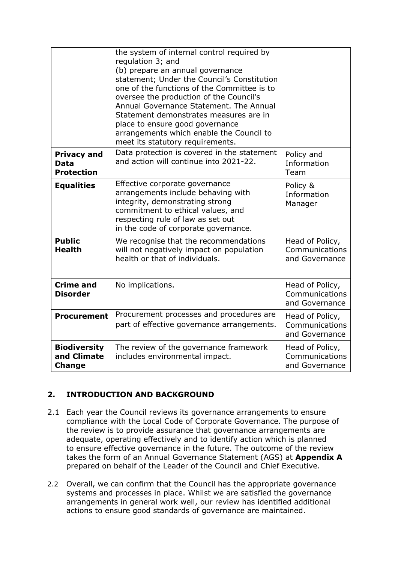|                                                        | the system of internal control required by<br>regulation 3; and<br>(b) prepare an annual governance<br>statement; Under the Council's Constitution<br>one of the functions of the Committee is to<br>oversee the production of the Council's<br>Annual Governance Statement. The Annual<br>Statement demonstrates measures are in<br>place to ensure good governance<br>arrangements which enable the Council to<br>meet its statutory requirements. |                                                     |
|--------------------------------------------------------|------------------------------------------------------------------------------------------------------------------------------------------------------------------------------------------------------------------------------------------------------------------------------------------------------------------------------------------------------------------------------------------------------------------------------------------------------|-----------------------------------------------------|
| <b>Privacy and</b><br><b>Data</b><br><b>Protection</b> | Data protection is covered in the statement<br>and action will continue into 2021-22.                                                                                                                                                                                                                                                                                                                                                                | Policy and<br>Information<br>Team                   |
| <b>Equalities</b>                                      | Effective corporate governance<br>arrangements include behaving with<br>integrity, demonstrating strong<br>commitment to ethical values, and<br>respecting rule of law as set out<br>in the code of corporate governance.                                                                                                                                                                                                                            | Policy &<br>Information<br>Manager                  |
| <b>Public</b><br><b>Health</b>                         | We recognise that the recommendations<br>will not negatively impact on population<br>health or that of individuals.                                                                                                                                                                                                                                                                                                                                  | Head of Policy,<br>Communications<br>and Governance |
| <b>Crime and</b><br><b>Disorder</b>                    | No implications.                                                                                                                                                                                                                                                                                                                                                                                                                                     | Head of Policy,<br>Communications<br>and Governance |
| <b>Procurement</b>                                     | Procurement processes and procedures are<br>part of effective governance arrangements.                                                                                                                                                                                                                                                                                                                                                               | Head of Policy,<br>Communications<br>and Governance |
| <b>Biodiversity</b><br>and Climate<br><b>Change</b>    | The review of the governance framework<br>includes environmental impact.                                                                                                                                                                                                                                                                                                                                                                             | Head of Policy,<br>Communications<br>and Governance |

## **2. INTRODUCTION AND BACKGROUND**

- 2.1 Each year the Council reviews its governance arrangements to ensure compliance with the Local Code of Corporate Governance. The purpose of the review is to provide assurance that governance arrangements are adequate, operating effectively and to identify action which is planned to ensure effective governance in the future. The outcome of the review takes the form of an Annual Governance Statement (AGS) at **Appendix A** prepared on behalf of the Leader of the Council and Chief Executive.
- 2.2 Overall, we can confirm that the Council has the appropriate governance systems and processes in place. Whilst we are satisfied the governance arrangements in general work well, our review has identified additional actions to ensure good standards of governance are maintained.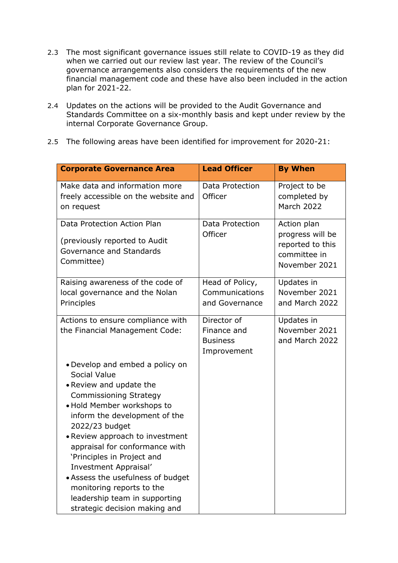- 2.3 The most significant governance issues still relate to COVID-19 as they did when we carried out our review last year. The review of the Council's governance arrangements also considers the requirements of the new financial management code and these have also been included in the action plan for 2021-22.
- 2.4 Updates on the actions will be provided to the Audit Governance and Standards Committee on a six-monthly basis and kept under review by the internal Corporate Governance Group.
- 2.5 The following areas have been identified for improvement for 2020-21:

| <b>Corporate Governance Area</b>                                                                                                                                                                                                                                                                                                                                                                                                                             | <b>Lead Officer</b>                                          | <b>By When</b>                                                                       |
|--------------------------------------------------------------------------------------------------------------------------------------------------------------------------------------------------------------------------------------------------------------------------------------------------------------------------------------------------------------------------------------------------------------------------------------------------------------|--------------------------------------------------------------|--------------------------------------------------------------------------------------|
| Make data and information more<br>freely accessible on the website and<br>on request                                                                                                                                                                                                                                                                                                                                                                         | Data Protection<br>Officer                                   | Project to be<br>completed by<br><b>March 2022</b>                                   |
| Data Protection Action Plan<br>(previously reported to Audit<br>Governance and Standards<br>Committee)                                                                                                                                                                                                                                                                                                                                                       | Data Protection<br>Officer                                   | Action plan<br>progress will be<br>reported to this<br>committee in<br>November 2021 |
| Raising awareness of the code of<br>local governance and the Nolan<br>Principles                                                                                                                                                                                                                                                                                                                                                                             | Head of Policy,<br>Communications<br>and Governance          | Updates in<br>November 2021<br>and March 2022                                        |
| Actions to ensure compliance with<br>the Financial Management Code:                                                                                                                                                                                                                                                                                                                                                                                          | Director of<br>Finance and<br><b>Business</b><br>Improvement | Updates in<br>November 2021<br>and March 2022                                        |
| • Develop and embed a policy on<br>Social Value<br>• Review and update the<br><b>Commissioning Strategy</b><br>· Hold Member workshops to<br>inform the development of the<br>2022/23 budget<br>• Review approach to investment<br>appraisal for conformance with<br>'Principles in Project and<br>Investment Appraisal'<br>• Assess the usefulness of budget<br>monitoring reports to the<br>leadership team in supporting<br>strategic decision making and |                                                              |                                                                                      |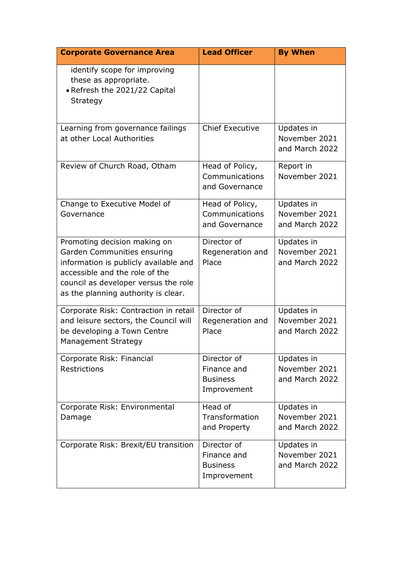| <b>Corporate Governance Area</b>                                                                                                                                                                                      | <b>Lead Officer</b>                                          | <b>By When</b>                                |
|-----------------------------------------------------------------------------------------------------------------------------------------------------------------------------------------------------------------------|--------------------------------------------------------------|-----------------------------------------------|
| identify scope for improving<br>these as appropriate.<br>• Refresh the 2021/22 Capital<br>Strategy                                                                                                                    |                                                              |                                               |
| Learning from governance failings<br>at other Local Authorities                                                                                                                                                       | <b>Chief Executive</b>                                       | Updates in<br>November 2021<br>and March 2022 |
| Review of Church Road, Otham                                                                                                                                                                                          | Head of Policy,<br>Communications<br>and Governance          | Report in<br>November 2021                    |
| Change to Executive Model of<br>Governance                                                                                                                                                                            | Head of Policy,<br>Communications<br>and Governance          | Updates in<br>November 2021<br>and March 2022 |
| Promoting decision making on<br>Garden Communities ensuring<br>information is publicly available and<br>accessible and the role of the<br>council as developer versus the role<br>as the planning authority is clear. | Director of<br>Regeneration and<br>Place                     | Updates in<br>November 2021<br>and March 2022 |
| Corporate Risk: Contraction in retail<br>and leisure sectors, the Council will<br>be developing a Town Centre<br>Management Strategy                                                                                  | Director of<br>Regeneration and<br>Place                     | Updates in<br>November 2021<br>and March 2022 |
| Corporate Risk: Financial<br>Restrictions                                                                                                                                                                             | Director of<br>Finance and<br><b>Business</b><br>Improvement | Updates in<br>November 2021<br>and March 2022 |
| Corporate Risk: Environmental<br>Damage                                                                                                                                                                               | Head of<br>Transformation<br>and Property                    | Updates in<br>November 2021<br>and March 2022 |
| Corporate Risk: Brexit/EU transition                                                                                                                                                                                  | Director of<br>Finance and<br><b>Business</b><br>Improvement | Updates in<br>November 2021<br>and March 2022 |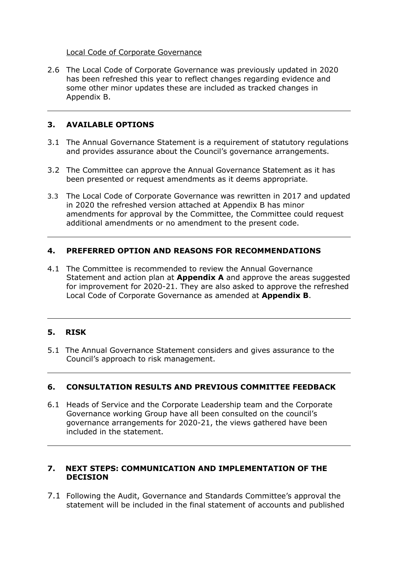#### Local Code of Corporate Governance

2.6 The Local Code of Corporate Governance was previously updated in 2020 has been refreshed this year to reflect changes regarding evidence and some other minor updates these are included as tracked changes in Appendix B.

### **3. AVAILABLE OPTIONS**

- 3.1 The Annual Governance Statement is a requirement of statutory regulations and provides assurance about the Council's governance arrangements.
- 3.2 The Committee can approve the Annual Governance Statement as it has been presented or request amendments as it deems appropriate.
- 3.3 The Local Code of Corporate Governance was rewritten in 2017 and updated in 2020 the refreshed version attached at Appendix B has minor amendments for approval by the Committee, the Committee could request additional amendments or no amendment to the present code.

#### **4. PREFERRED OPTION AND REASONS FOR RECOMMENDATIONS**

4.1 The Committee is recommended to review the Annual Governance Statement and action plan at **Appendix A** and approve the areas suggested for improvement for 2020-21. They are also asked to approve the refreshed Local Code of Corporate Governance as amended at **Appendix B**.

#### **5. RISK**

5.1 The Annual Governance Statement considers and gives assurance to the Council's approach to risk management.

#### **6. CONSULTATION RESULTS AND PREVIOUS COMMITTEE FEEDBACK**

6.1 Heads of Service and the Corporate Leadership team and the Corporate Governance working Group have all been consulted on the council's governance arrangements for 2020-21, the views gathered have been included in the statement.

#### **7. NEXT STEPS: COMMUNICATION AND IMPLEMENTATION OF THE DECISION**

7.1 Following the Audit, Governance and Standards Committee's approval the statement will be included in the final statement of accounts and published